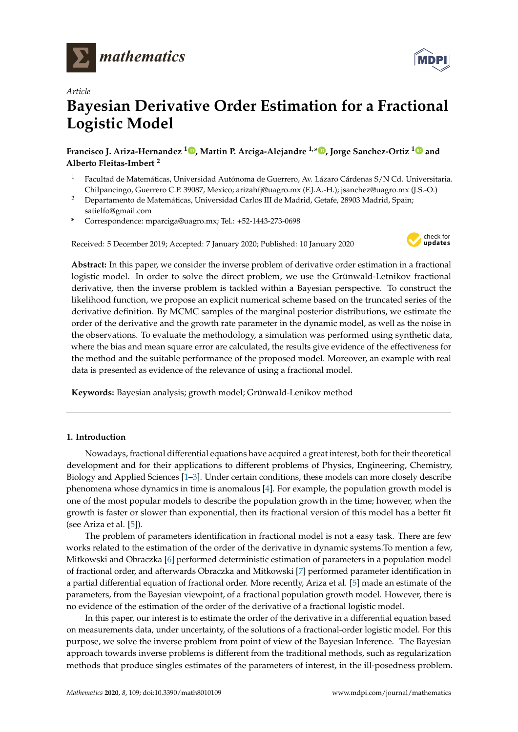

*Article*



# **Bayesian Derivative Order Estimation for a Fractional Logistic Model**

**Francisco J. Ariza-Hernandez <sup>1</sup> [,](https://orcid.org/0000-0002-1414-8490) Martin P. Arciga-Alejandre 1,[\\*](https://orcid.org/0000-0002-1637-8513) , Jorge Sanchez-Ortiz [1](https://orcid.org/0000-0002-9228-7285) and Alberto Fleitas-Imbert <sup>2</sup>**

- <sup>1</sup> Facultad de Matemáticas, Universidad Autónoma de Guerrero, Av. Lázaro Cárdenas S/N Cd. Universitaria. Chilpancingo, Guerrero C.P. 39087, Mexico; arizahfj@uagro.mx (F.J.A.-H.); jsanchez@uagro.mx (J.S.-O.)
- <sup>2</sup> Departamento de Matemáticas, Universidad Carlos III de Madrid, Getafe, 28903 Madrid, Spain; satielfo@gmail.com
- **\*** Correspondence: mparciga@uagro.mx; Tel.: +52-1443-273-0698

Received: 5 December 2019; Accepted: 7 January 2020; Published: 10 January 2020



**Abstract:** In this paper, we consider the inverse problem of derivative order estimation in a fractional logistic model. In order to solve the direct problem, we use the Grünwald-Letnikov fractional derivative, then the inverse problem is tackled within a Bayesian perspective. To construct the likelihood function, we propose an explicit numerical scheme based on the truncated series of the derivative definition. By MCMC samples of the marginal posterior distributions, we estimate the order of the derivative and the growth rate parameter in the dynamic model, as well as the noise in the observations. To evaluate the methodology, a simulation was performed using synthetic data, where the bias and mean square error are calculated, the results give evidence of the effectiveness for the method and the suitable performance of the proposed model. Moreover, an example with real data is presented as evidence of the relevance of using a fractional model.

**Keywords:** Bayesian analysis; growth model; Grünwald-Lenikov method

# **1. Introduction**

Nowadays, fractional differential equations have acquired a great interest, both for their theoretical development and for their applications to different problems of Physics, Engineering, Chemistry, Biology and Applied Sciences [\[1–](#page-7-0)[3\]](#page-7-1). Under certain conditions, these models can more closely describe phenomena whose dynamics in time is anomalous [\[4\]](#page-7-2). For example, the population growth model is one of the most popular models to describe the population growth in the time; however, when the growth is faster or slower than exponential, then its fractional version of this model has a better fit (see Ariza et al. [\[5\]](#page-7-3)).

The problem of parameters identification in fractional model is not a easy task. There are few works related to the estimation of the order of the derivative in dynamic systems.To mention a few, Mitkowski and Obraczka [\[6\]](#page-7-4) performed deterministic estimation of parameters in a population model of fractional order, and afterwards Obraczka and Mitkowski [\[7\]](#page-7-5) performed parameter identification in a partial differential equation of fractional order. More recently, Ariza et al. [\[5\]](#page-7-3) made an estimate of the parameters, from the Bayesian viewpoint, of a fractional population growth model. However, there is no evidence of the estimation of the order of the derivative of a fractional logistic model.

In this paper, our interest is to estimate the order of the derivative in a differential equation based on measurements data, under uncertainty, of the solutions of a fractional-order logistic model. For this purpose, we solve the inverse problem from point of view of the Bayesian Inference. The Bayesian approach towards inverse problems is different from the traditional methods, such as regularization methods that produce singles estimates of the parameters of interest, in the ill-posedness problem.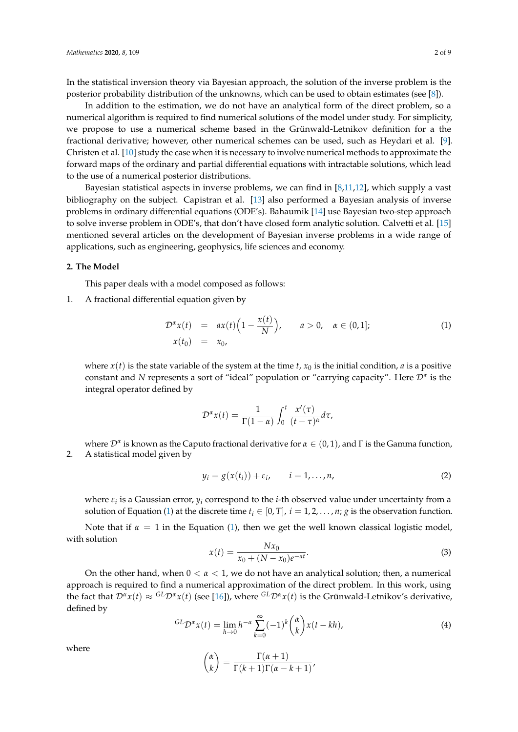In the statistical inversion theory via Bayesian approach, the solution of the inverse problem is the posterior probability distribution of the unknowns, which can be used to obtain estimates (see [\[8\]](#page-7-6)).

In addition to the estimation, we do not have an analytical form of the direct problem, so a numerical algorithm is required to find numerical solutions of the model under study. For simplicity, we propose to use a numerical scheme based in the Grünwald-Letnikov definition for a the fractional derivative; however, other numerical schemes can be used, such as Heydari et al. [\[9\]](#page-7-7). Christen et al. [\[10\]](#page-7-8) study the case when it is necessary to involve numerical methods to approximate the forward maps of the ordinary and partial differential equations with intractable solutions, which lead to the use of a numerical posterior distributions.

Bayesian statistical aspects in inverse problems, we can find in [\[8,](#page-7-6)[11,](#page-7-9)[12\]](#page-7-10), which supply a vast bibliography on the subject. Capistran et al. [\[13\]](#page-7-11) also performed a Bayesian analysis of inverse problems in ordinary differential equations (ODE's). Bahaumik [\[14\]](#page-7-12) use Bayesian two-step approach to solve inverse problem in ODE's, that don't have closed form analytic solution. Calvetti et al. [\[15\]](#page-7-13) mentioned several articles on the development of Bayesian inverse problems in a wide range of applications, such as engineering, geophysics, life sciences and economy.

#### **2. The Model**

This paper deals with a model composed as follows:

1. A fractional differential equation given by

<span id="page-1-0"></span>
$$
\mathcal{D}^{\alpha} x(t) = a x(t) \left( 1 - \frac{x(t)}{N} \right), \qquad a > 0, \quad \alpha \in (0, 1];
$$
  
\n
$$
x(t_0) = x_0,
$$
\n(1)

where  $x(t)$  is the state variable of the system at the time *t*,  $x_0$  is the initial condition, *a* is a positive constant and *N* represents a sort of "ideal" population or "carrying capacity". Here D*<sup>α</sup>* is the integral operator defined by

$$
\mathcal{D}^{\alpha}x(t)=\frac{1}{\Gamma(1-\alpha)}\int_0^t\frac{x'(\tau)}{(t-\tau)^{\alpha}}d\tau,
$$

where  $\mathcal{D}^\alpha$  is known as the Caputo fractional derivative for  $\alpha\in(0,1)$ , and  $\Gamma$  is the Gamma function, 2. A statistical model given by

<span id="page-1-1"></span>
$$
y_i = g(x(t_i)) + \varepsilon_i, \qquad i = 1, \dots, n,
$$
 (2)

where *ε<sup>i</sup>* is a Gaussian error, *y<sup>i</sup>* correspond to the *i*-th observed value under uncertainty from a solution of Equation [\(1\)](#page-1-0) at the discrete time  $t_i \in [0, T]$ ,  $i = 1, 2, \ldots, n$ ; *g* is the observation function.

Note that if  $\alpha = 1$  in the Equation [\(1\)](#page-1-0), then we get the well known classical logistic model, with solution

$$
x(t) = \frac{Nx_0}{x_0 + (N - x_0)e^{-at}}.
$$
\n(3)

On the other hand, when 0 < *α* < 1, we do not have an analytical solution; then, a numerical approach is required to find a numerical approximation of the direct problem. In this work, using the fact that  $\mathcal{D}^{\alpha}x(t) \approx {}^{GL}\mathcal{D}^{\alpha}x(t)$  (see [\[16\]](#page-7-14)), where  ${}^{GL}\mathcal{D}^{\alpha}x(t)$  is the Grünwald-Letnikov's derivative, defined by

$$
^{GL}D^{\alpha}x(t) = \lim_{h \to 0} h^{-\alpha} \sum_{k=0}^{\infty} (-1)^k { \alpha \choose k} x(t - kh), \qquad (4)
$$

where

$$
\binom{\alpha}{k} = \frac{\Gamma(\alpha+1)}{\Gamma(k+1)\Gamma(\alpha-k+1)},
$$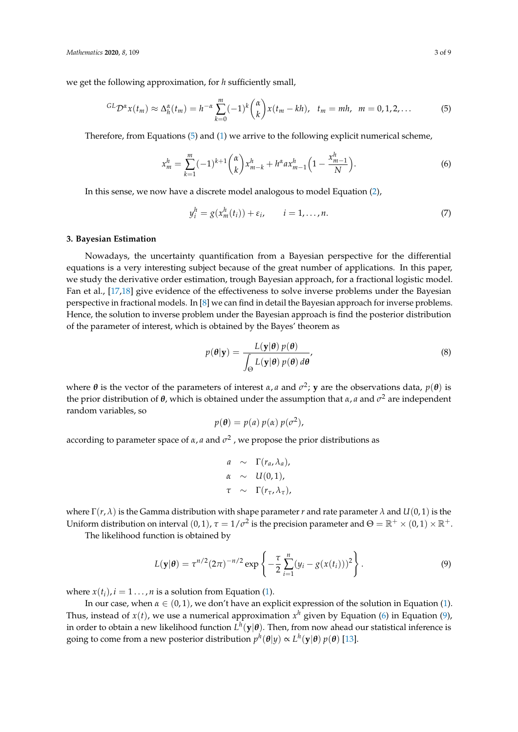we get the following approximation, for *h* sufficiently small,

<span id="page-2-0"></span>
$$
{}^{GL}D^{\alpha}x(t_m) \approx \Delta_h^{\alpha}(t_m) = h^{-\alpha}\sum_{k=0}^m (-1)^k {\alpha \choose k} x(t_m - kh), \quad t_m = mh, \quad m = 0, 1, 2, \ldots \tag{5}
$$

Therefore, from Equations [\(5\)](#page-2-0) and [\(1\)](#page-1-0) we arrive to the following explicit numerical scheme,

<span id="page-2-1"></span>
$$
x_m^h = \sum_{k=1}^m (-1)^{k+1} \binom{\alpha}{k} x_{m-k}^h + h^{\alpha} a x_{m-1}^h \left( 1 - \frac{x_{m-1}^h}{N} \right). \tag{6}
$$

In this sense, we now have a discrete model analogous to model Equation [\(2\)](#page-1-1),

<span id="page-2-3"></span>
$$
y_i^h = g(x_m^h(t_i)) + \varepsilon_i, \qquad i = 1, \dots, n. \tag{7}
$$

#### **3. Bayesian Estimation**

Nowadays, the uncertainty quantification from a Bayesian perspective for the differential equations is a very interesting subject because of the great number of applications. In this paper, we study the derivative order estimation, trough Bayesian approach, for a fractional logistic model. Fan et al., [\[17](#page-7-15)[,18\]](#page-7-16) give evidence of the effectiveness to solve inverse problems under the Bayesian perspective in fractional models. In [\[8\]](#page-7-6) we can find in detail the Bayesian approach for inverse problems. Hence, the solution to inverse problem under the Bayesian approach is find the posterior distribution of the parameter of interest, which is obtained by the Bayes' theorem as

$$
p(\theta|\mathbf{y}) = \frac{L(\mathbf{y}|\theta) p(\theta)}{\int_{\Theta} L(\mathbf{y}|\theta) p(\theta) d\theta'},
$$
\n(8)

where  $\theta$  is the vector of the parameters of interest  $\alpha$ ,  $a$  and  $\sigma^2$ ;  $y$  are the observations data,  $p(\theta)$  is the prior distribution of *θ*, which is obtained under the assumption that *α*, *a* and *σ* <sup>2</sup> are independent random variables, so

$$
p(\theta) = p(a) p(\alpha) p(\sigma^2),
$$

according to parameter space of  $\alpha$ ,  $a$  and  $\sigma^2$  , we propose the prior distributions as

$$
a \sim \Gamma(r_a, \lambda_a),
$$
  
\n
$$
\alpha \sim U(0, 1),
$$
  
\n
$$
\tau \sim \Gamma(r_\tau, \lambda_\tau),
$$

where  $\Gamma(r, \lambda)$  is the Gamma distribution with shape parameter *r* and rate parameter  $\lambda$  and  $U(0, 1)$  is the Uniform distribution on interval  $(0,1)$ ,  $\tau = 1/\sigma^2$  is the precision parameter and  $\Theta = \mathbb{R}^+ \times (0,1) \times \mathbb{R}^+$ .

The likelihood function is obtained by

<span id="page-2-2"></span>
$$
L(\mathbf{y}|\boldsymbol{\theta}) = \tau^{n/2} (2\pi)^{-n/2} \exp\left\{-\frac{\tau}{2} \sum_{i=1}^{n} (y_i - g(x(t_i)))^2\right\}.
$$
 (9)

where  $x(t_i)$ ,  $i = 1 \ldots$ , *n* is a solution from Equation [\(1\)](#page-1-0).

In our case, when  $\alpha \in (0,1)$ , we don't have an explicit expression of the solution in Equation [\(1\)](#page-1-0). Thus, instead of  $x(t)$ , we use a numerical approximation  $x^h$  given by Equation [\(6\)](#page-2-1) in Equation [\(9\)](#page-2-2), in order to obtain a new likelihood function  $L^h(\mathbf{y}|\boldsymbol{\theta})$ . Then, from now ahead our statistical inference is going to come from a new posterior distribution  $p^h(\theta|y) \propto L^h(\mathbf{y}|\theta) \, p(\theta)$  [\[13\]](#page-7-11).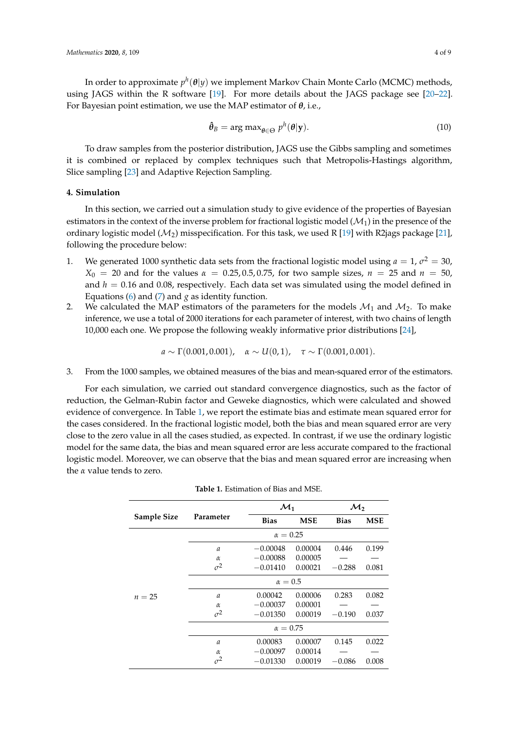In order to approximate *p h* (*θ*|*y*) we implement Markov Chain Monte Carlo (MCMC) methods, using JAGS within the R software [\[19\]](#page-7-17). For more details about the JAGS package see [\[20–](#page-7-18)[22\]](#page-7-19). For Bayesian point estimation, we use the MAP estimator of *θ*, i.e.,

$$
\hat{\theta}_B = \arg \max_{\theta \in \Theta} p^h(\theta | \mathbf{y}). \tag{10}
$$

To draw samples from the posterior distribution, JAGS use the Gibbs sampling and sometimes it is combined or replaced by complex techniques such that Metropolis-Hastings algorithm, Slice sampling [\[23\]](#page-8-0) and Adaptive Rejection Sampling.

# **4. Simulation**

In this section, we carried out a simulation study to give evidence of the properties of Bayesian estimators in the context of the inverse problem for fractional logistic model  $(\mathcal{M}_1)$  in the presence of the ordinary logistic model ( $\mathcal{M}_2$ ) misspecification. For this task, we used R [\[19\]](#page-7-17) with R2jags package [\[21\]](#page-7-20), following the procedure below:

- 1. We generated 1000 synthetic data sets from the fractional logistic model using  $a = 1$ ,  $\sigma^2 = 30$ , *X*<sup>0</sup> = 20 and for the values *α* = 0.25, 0.5, 0.75, for two sample sizes, *n* = 25 and *n* = 50, and  $h = 0.16$  and 0.08, respectively. Each data set was simulated using the model defined in Equations [\(6\)](#page-2-1) and [\(7\)](#page-2-3) and  $g$  as identity function.
- 2. We calculated the MAP estimators of the parameters for the models  $\mathcal{M}_1$  and  $\mathcal{M}_2$ . To make inference, we use a total of 2000 iterations for each parameter of interest, with two chains of length 10,000 each one. We propose the following weakly informative prior distributions [\[24\]](#page-8-1),

 $a \sim \Gamma(0.001, 0.001), \quad \alpha \sim U(0, 1), \quad \tau \sim \Gamma(0.001, 0.001).$ 

3. From the 1000 samples, we obtained measures of the bias and mean-squared error of the estimators.

For each simulation, we carried out standard convergence diagnostics, such as the factor of reduction, the Gelman-Rubin factor and Geweke diagnostics, which were calculated and showed evidence of convergence. In Table [1,](#page-4-0) we report the estimate bias and estimate mean squared error for the cases considered. In the fractional logistic model, both the bias and mean squared error are very close to the zero value in all the cases studied, as expected. In contrast, if we use the ordinary logistic model for the same data, the bias and mean squared error are less accurate compared to the fractional logistic model. Moreover, we can observe that the bias and mean squared error are increasing when the *α* value tends to zero.

|             |                 | $\mathcal{M}_1$ |            | $\mathcal{M}_{2}$ |            |  |  |
|-------------|-----------------|-----------------|------------|-------------------|------------|--|--|
| Sample Size | Parameter       | <b>Bias</b>     | <b>MSE</b> | <b>Bias</b>       | <b>MSE</b> |  |  |
|             |                 | $\alpha = 0.25$ |            |                   |            |  |  |
| $n = 25$    | $\mathfrak a$   | $-0.00048$      | 0.00004    | 0.446             | 0.199      |  |  |
|             | $\alpha$        | $-0.00088$      | 0.00005    |                   |            |  |  |
|             | $\sigma^2$      | $-0.01410$      | 0.00021    | $-0.288$          | 0.081      |  |  |
|             | $\alpha = 0.5$  |                 |            |                   |            |  |  |
|             | $\mathfrak a$   | 0.00042         | 0.00006    | 0.283             | 0.082      |  |  |
|             | $\alpha$        | $-0.00037$      | 0.00001    |                   |            |  |  |
|             | $\sigma^2$      | $-0.01350$      | 0.00019    | $-0.190$          | 0.037      |  |  |
|             | $\alpha = 0.75$ |                 |            |                   |            |  |  |
|             | $\mathfrak a$   | 0.00083         | 0.00007    | 0.145             | 0.022      |  |  |
|             | $\alpha$        | $-0.00097$      | 0.00014    |                   |            |  |  |
|             | $\sigma^2$      | $-0.01330$      | 0.00019    | $-0.086$          | 0.008      |  |  |

| <b>Table 1.</b> Estimation of Bias and MSE. |
|---------------------------------------------|
|---------------------------------------------|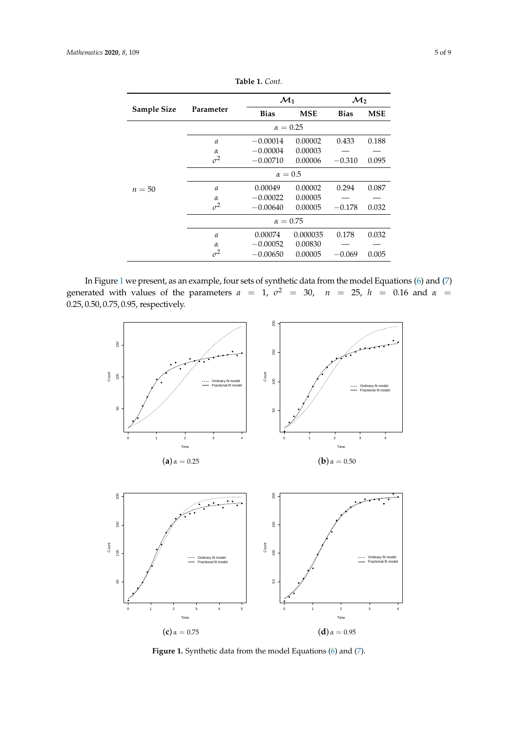<span id="page-4-0"></span>

|             |                 | $\mathcal{M}_1$ |            | $\mathcal{M}_2$ |       |  |  |
|-------------|-----------------|-----------------|------------|-----------------|-------|--|--|
| Sample Size | Parameter       | <b>Bias</b>     | <b>MSE</b> | <b>Bias</b>     | MSE   |  |  |
|             | $\alpha = 0.25$ |                 |            |                 |       |  |  |
| $n=50$      | $\mathfrak a$   | $-0.00014$      | 0.00002    | 0.433           | 0.188 |  |  |
|             | $\alpha$        | $-0.00004$      | 0.00003    |                 |       |  |  |
|             | $\sigma^2$      | $-0.00710$      | 0.00006    | $-0.310$        | 0.095 |  |  |
|             | $\alpha = 0.5$  |                 |            |                 |       |  |  |
|             | $\mathfrak a$   | 0.00049         | 0.00002    | 0.294           | 0.087 |  |  |
|             | $\alpha$        | $-0.00022$      | 0.00005    |                 |       |  |  |
|             | $\sigma^2$      | $-0.00640$      | 0.00005    | $-0.178$        | 0.032 |  |  |
|             | $\alpha = 0.75$ |                 |            |                 |       |  |  |
|             | $\mathfrak a$   | 0.00074         | 0.000035   | 0.178           | 0.032 |  |  |
|             | $\alpha$        | $-0.00052$      | 0.00830    |                 |       |  |  |
|             | $\sigma^2$      | $-0.00650$      | 0.00005    | $-0.069$        | 0.005 |  |  |

**Table 1.** *Cont*.

<span id="page-4-1"></span>In Figure [1](#page-4-1) we present, as an example, four sets of synthetic data from the model Equations [\(6\)](#page-2-1) and [\(7\)](#page-2-3) generated with values of the parameters  $a = 1$ ,  $\sigma^2 = 30$ ,  $n = 25$ ,  $h = 0.16$  and  $\alpha =$ 0.25, 0.50, 0.75, 0.95, respectively.



**Figure 1.** Synthetic data from the model Equations [\(6\)](#page-2-1) and [\(7\)](#page-2-3).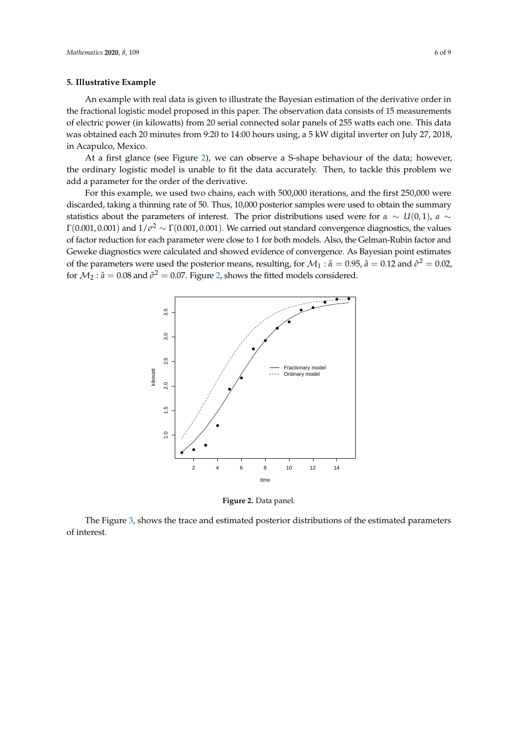#### **5. Illustrative Example**

An example with real data is given to illustrate the Bayesian estimation of the derivative order in the fractional logistic model proposed in this paper. The observation data consists of 15 measurements of electric power (in kilowatts) from 20 serial connected solar panels of 255 watts each one. This data was obtained each 20 minutes from 9:20 to 14:00 hours using, a 5 kW digital inverter on July 27, 2018, in Acapulco, Mexico.

At a first glance (see Figure [2\)](#page-5-0), we can observe a S-shape behaviour of the data; however, the ordinary logistic model is unable to fit the data accurately. Then, to tackle this problem we add a parameter for the order of the derivative.

For this example, we used two chains, each with 500,000 iterations, and the first 250,000 were discarded, taking a thinning rate of 50. Thus, 10,000 posterior samples were used to obtain the summary statistics about the parameters of interest. The prior distributions used were for  $\alpha \sim U(0,1)$ ,  $a \sim$  $\Gamma(0.001,0.001)$  and  $1/\sigma^2 \sim \Gamma(0.001,0.001).$  We carried out standard convergence diagnostics, the values of factor reduction for each parameter were close to 1 for both models. Also, the Gelman-Rubin factor and Geweke diagnostics were calculated and showed evidence of convergence. As Bayesian point estimates of the parameters were used the posterior means, resulting, for  $\mathcal{M}_1$  :  $\hat{\alpha} = 0.95$ ,  $\hat{a} = 0.12$  and  $\hat{\sigma}^2 = 0.02$ , for  $\mathcal{M}_2$ :  $\hat{a} = 0.08$  and  $\hat{\sigma}^2 = 0.07$ . Figure [2,](#page-5-0) shows the fitted models considered.

<span id="page-5-0"></span>

**Figure 2.** Data panel.

The Figure [3,](#page-6-0) shows the trace and estimated posterior distributions of the estimated parameters of interest.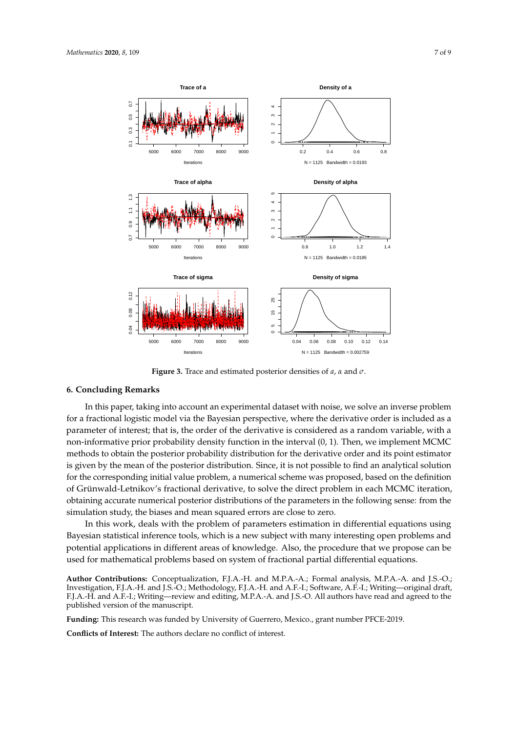<span id="page-6-0"></span>

**Figure 3.** Trace and estimated posterior densities of *a*, *α* and *σ*.

# **6. Concluding Remarks**

In this paper, taking into account an experimental dataset with noise, we solve an inverse problem for a fractional logistic model via the Bayesian perspective, where the derivative order is included as a parameter of interest; that is, the order of the derivative is considered as a random variable, with a non-informative prior probability density function in the interval (0, 1). Then, we implement MCMC methods to obtain the posterior probability distribution for the derivative order and its point estimator is given by the mean of the posterior distribution. Since, it is not possible to find an analytical solution for the corresponding initial value problem, a numerical scheme was proposed, based on the definition of Grünwald-Letnikov's fractional derivative, to solve the direct problem in each MCMC iteration, obtaining accurate numerical posterior distributions of the parameters in the following sense: from the simulation study, the biases and mean squared errors are close to zero.

In this work, deals with the problem of parameters estimation in differential equations using Bayesian statistical inference tools, which is a new subject with many interesting open problems and potential applications in different areas of knowledge. Also, the procedure that we propose can be used for mathematical problems based on system of fractional partial differential equations.

**Author Contributions:** Conceptualization, F.J.A.-H. and M.P.A.-A.; Formal analysis, M.P.A.-A. and J.S.-O.; Investigation, F.J.A.-H. and J.S.-O.; Methodology, F.J.A.-H. and A.F.-I.; Software, A.F.-I.; Writing—original draft, F.J.A.-H. and A.F.-I.; Writing—review and editing, M.P.A.-A. and J.S.-O. All authors have read and agreed to the published version of the manuscript.

**Funding:** This research was funded by University of Guerrero, Mexico., grant number PFCE-2019.

**Conflicts of Interest:** The authors declare no conflict of interest.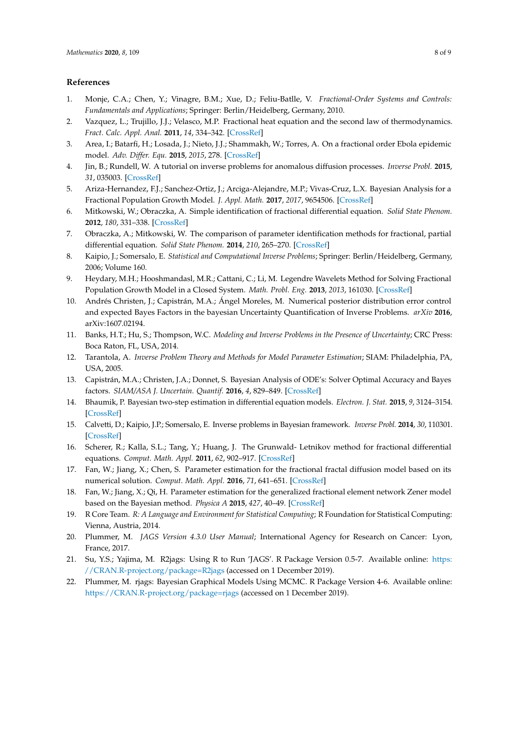### **References**

- <span id="page-7-0"></span>1. Monje, C.A.; Chen, Y.; Vinagre, B.M.; Xue, D.; Feliu-Batlle, V. *Fractional-Order Systems and Controls: Fundamentals and Applications*; Springer: Berlin/Heidelberg, Germany, 2010.
- 2. Vazquez, L.; Trujillo, J.J.; Velasco, M.P. Fractional heat equation and the second law of thermodynamics. *Fract. Calc. Appl. Anal.* **2011**, *14*, 334–342. [\[CrossRef\]](http://dx.doi.org/10.2478/s13540-011-0021-9)
- <span id="page-7-1"></span>3. Area, I.; Batarfi, H.; Losada, J.; Nieto, J.J.; Shammakh, W.; Torres, A. On a fractional order Ebola epidemic model. *Adv. Differ. Equ.* **2015**, *2015*, 278. [\[CrossRef\]](http://dx.doi.org/10.1186/s13662-015-0613-5)
- <span id="page-7-2"></span>4. Jin, B.; Rundell, W. A tutorial on inverse problems for anomalous diffusion processes. *Inverse Probl.* **2015**, *31*, 035003. [\[CrossRef\]](http://dx.doi.org/10.1088/0266-5611/31/3/035003)
- <span id="page-7-3"></span>5. Ariza-Hernandez, F.J.; Sanchez-Ortiz, J.; Arciga-Alejandre, M.P.; Vivas-Cruz, L.X. Bayesian Analysis for a Fractional Population Growth Model. *J. Appl. Math.* **2017**, *2017*, 9654506. [\[CrossRef\]](http://dx.doi.org/10.1155/2017/9654506)
- <span id="page-7-4"></span>6. Mitkowski, W.; Obraczka, A. Simple identification of fractional differential equation. *Solid State Phenom.* **2012**, *180*, 331–338. [\[CrossRef\]](http://dx.doi.org/10.4028/www.scientific.net/SSP.180.331)
- <span id="page-7-5"></span>7. Obraczka, A.; Mitkowski, W. The comparison of parameter identification methods for fractional, partial differential equation. *Solid State Phenom.* **2014**, *210*, 265–270. [\[CrossRef\]](http://dx.doi.org/10.4028/www.scientific.net/SSP.210.265)
- <span id="page-7-6"></span>8. Kaipio, J.; Somersalo, E. *Statistical and Computational Inverse Problems*; Springer: Berlin/Heidelberg, Germany, 2006; Volume 160.
- <span id="page-7-7"></span>9. Heydary, M.H.; Hooshmandasl, M.R.; Cattani, C.; Li, M. Legendre Wavelets Method for Solving Fractional Population Growth Model in a Closed System. *Math. Probl. Eng.* **2013**, *2013*, 161030. [\[CrossRef\]](http://dx.doi.org/10.1155/2013/161030)
- <span id="page-7-8"></span>10. Andrés Christen, J.; Capistrán, M.A.; Ángel Moreles, M. Numerical posterior distribution error control and expected Bayes Factors in the bayesian Uncertainty Quantification of Inverse Problems. *arXiv* **2016**, arXiv:1607.02194.
- <span id="page-7-9"></span>11. Banks, H.T.; Hu, S.; Thompson, W.C. *Modeling and Inverse Problems in the Presence of Uncertainty*; CRC Press: Boca Raton, FL, USA, 2014.
- <span id="page-7-10"></span>12. Tarantola, A. *Inverse Problem Theory and Methods for Model Parameter Estimation*; SIAM: Philadelphia, PA, USA, 2005.
- <span id="page-7-11"></span>13. Capistrán, M.A.; Christen, J.A.; Donnet, S. Bayesian Analysis of ODE's: Solver Optimal Accuracy and Bayes factors. *SIAM/ASA J. Uncertain. Quantif.* **2016**, *4*, 829–849. [\[CrossRef\]](http://dx.doi.org/10.1137/140976777)
- <span id="page-7-12"></span>14. Bhaumik, P. Bayesian two-step estimation in differential equation models. *Electron. J. Stat.* **2015**, *9*, 3124–3154. [\[CrossRef\]](http://dx.doi.org/10.1214/15-EJS1099)
- <span id="page-7-13"></span>15. Calvetti, D.; Kaipio, J.P.; Somersalo, E. Inverse problems in Bayesian framework. *Inverse Probl.* **2014**, *30*, 110301. [\[CrossRef\]](http://dx.doi.org/10.1088/0266-5611/30/11/110301)
- <span id="page-7-14"></span>16. Scherer, R.; Kalla, S.L.; Tang, Y.; Huang, J. The Grunwald- Letnikov method for fractional differential equations. *Comput. Math. Appl.* **2011**, *62*, 902–917. [\[CrossRef\]](http://dx.doi.org/10.1016/j.camwa.2011.03.054)
- <span id="page-7-15"></span>17. Fan, W.; Jiang, X.; Chen, S. Parameter estimation for the fractional fractal diffusion model based on its numerical solution. *Comput. Math. Appl.* **2016**, *71*, 641–651. [\[CrossRef\]](http://dx.doi.org/10.1016/j.camwa.2015.12.030)
- <span id="page-7-16"></span>18. Fan, W.; Jiang, X.; Qi, H. Parameter estimation for the generalized fractional element network Zener model based on the Bayesian method. *Physica A* **2015**, *427*, 40–49. [\[CrossRef\]](http://dx.doi.org/10.1016/j.physa.2015.02.037)
- <span id="page-7-17"></span>19. R Core Team. *R: A Language and Environment for Statistical Computing*; R Foundation for Statistical Computing: Vienna, Austria, 2014.
- <span id="page-7-18"></span>20. Plummer, M. *JAGS Version 4.3.0 User Manual*; International Agency for Research on Cancer: Lyon, France, 2017.
- <span id="page-7-20"></span>21. Su, Y.S.; Yajima, M. R2jags: Using R to Run 'JAGS'. R Package Version 0.5-7. Available online: [https:](https://CRAN.R-project.org/package=R2jags) [//CRAN.R-project.org/package=R2jags](https://CRAN.R-project.org/package=R2jags) (accessed on 1 December 2019).
- <span id="page-7-19"></span>22. Plummer, M. rjags: Bayesian Graphical Models Using MCMC. R Package Version 4-6. Available online: <https://CRAN.R-project.org/package=rjags> (accessed on 1 December 2019).